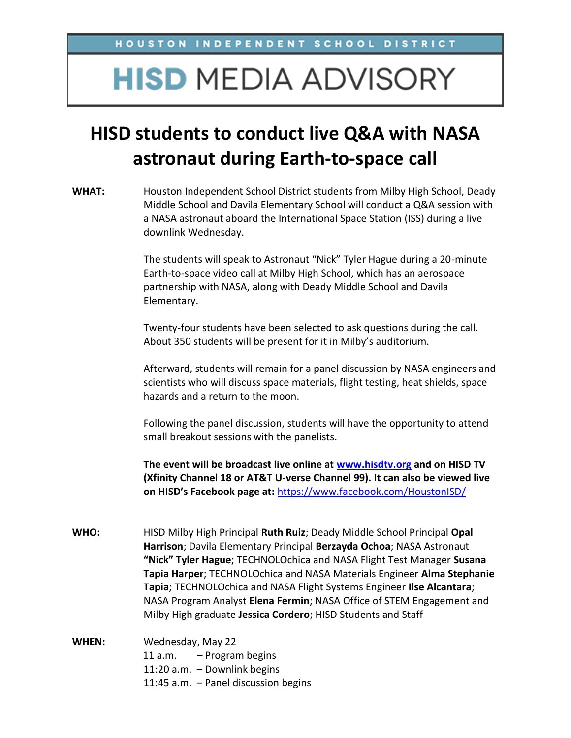## **HISD MEDIA ADVISORY**

## **HISD students to conduct live Q&A with NASA astronaut during Earth-to-space call**

**WHAT:** Houston Independent School District students from Milby High School, Deady Middle School and Davila Elementary School will conduct a Q&A session with a NASA astronaut aboard the International Space Station (ISS) during a live downlink Wednesday.

> The students will speak to Astronaut "Nick" Tyler Hague during a 20-minute Earth-to-space video call at Milby High School, which has an aerospace partnership with NASA, along with Deady Middle School and Davila Elementary.

Twenty-four students have been selected to ask questions during the call. About 350 students will be present for it in Milby's auditorium.

Afterward, students will remain for a panel discussion by NASA engineers and scientists who will discuss space materials, flight testing, heat shields, space hazards and a return to the moon.

Following the panel discussion, students will have the opportunity to attend small breakout sessions with the panelists.

**The event will be broadcast live online at [www.hisdtv.org](http://www.houstonisd.org/livetv) and on HISD TV (Xfinity Channel 18 or AT&T U-verse Channel 99). It can also be viewed live on HISD's Facebook page at:** <https://www.facebook.com/HoustonISD/>

- **WHO:** HISD Milby High Principal **Ruth Ruiz**; Deady Middle School Principal **Opal Harrison**; Davila Elementary Principal **Berzayda Ochoa**; NASA Astronaut **"Nick" Tyler Hague**; TECHNOLOchica and NASA Flight Test Manager **Susana Tapia Harper**; TECHNOLOchica and NASA Materials Engineer **Alma Stephanie Tapia**; TECHNOLOchica and NASA Flight Systems Engineer **Ilse Alcantara**; NASA Program Analyst **Elena Fermin**; NASA Office of STEM Engagement and Milby High graduate **Jessica Cordero**; HISD Students and Staff
- **WHEN:** Wednesday, May 22 11 a.m. – Program begins 11:20 a.m. – Downlink begins 11:45 a.m. – Panel discussion begins